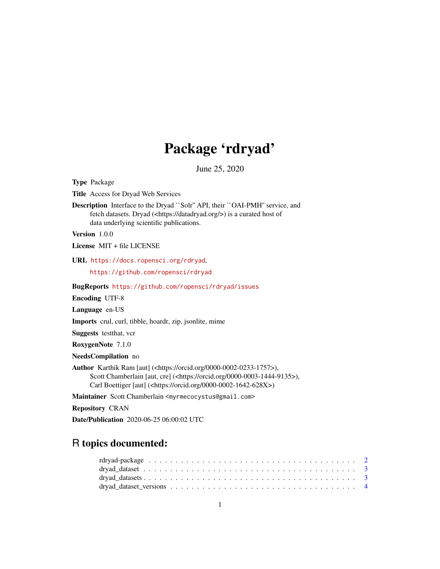## Package 'rdryad'

June 25, 2020

<span id="page-0-0"></span>Type Package Title Access for Dryad Web Services Description Interface to the Dryad ``Solr'' API, their ``OAI-PMH'' service, and fetch datasets. Dryad (<https://datadryad.org/>) is a curated host of data underlying scientific publications. Version 1.0.0 License MIT + file LICENSE URL <https://docs.ropensci.org/rdryad>, <https://github.com/ropensci/rdryad> BugReports <https://github.com/ropensci/rdryad/issues> Encoding UTF-8 Language en-US Imports crul, curl, tibble, hoardr, zip, jsonlite, mime Suggests testthat, vcr RoxygenNote 7.1.0 NeedsCompilation no Author Karthik Ram [aut] (<https://orcid.org/0000-0002-0233-1757>), Scott Chamberlain [aut, cre] (<https://orcid.org/0000-0003-1444-9135>), Carl Boettiger [aut] (<https://orcid.org/0000-0002-1642-628X>) Maintainer Scott Chamberlain <myrmecocystus@gmail.com>

Repository CRAN

Date/Publication 2020-06-25 06:00:02 UTC

## R topics documented: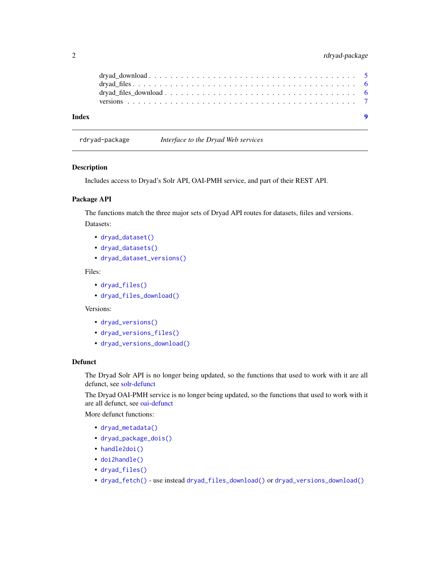## <span id="page-1-0"></span>2 rdryad-package

| Index |  |  |  |  |  |  |  |  |  |  |  |  |  |  |  |  |
|-------|--|--|--|--|--|--|--|--|--|--|--|--|--|--|--|--|

rdryad-package *Interface to the Dryad Web services*

#### Description

Includes access to Dryad's Solr API, OAI-PMH service, and part of their REST API.

#### Package API

The functions match the three major sets of Dryad API routes for datasets, fiiles and versions. Datasets:

- [dryad\\_dataset\(\)](#page-2-1)
- [dryad\\_datasets\(\)](#page-2-2)
- [dryad\\_dataset\\_versions\(\)](#page-3-1)

#### Files:

- [dryad\\_files\(\)](#page-5-1)
- [dryad\\_files\\_download\(\)](#page-5-2)

#### Versions:

- [dryad\\_versions\(\)](#page-6-1)
- [dryad\\_versions\\_files\(\)](#page-6-1)
- [dryad\\_versions\\_download\(\)](#page-6-1)

#### Defunct

The Dryad Solr API is no longer being updated, so the functions that used to work with it are all defunct, see [solr-defunct](#page-0-0)

The Dryad OAI-PMH service is no longer being updated, so the functions that used to work with it are all defunct, see [oai-defunct](#page-0-0)

More defunct functions:

- [dryad\\_metadata\(\)](#page-0-0)
- [dryad\\_package\\_dois\(\)](#page-0-0)
- [handle2doi\(\)](#page-0-0)
- [doi2handle\(\)](#page-0-0)
- [dryad\\_files\(\)](#page-5-1)
- [dryad\\_fetch\(\)](#page-0-0) use instead [dryad\\_files\\_download\(\)](#page-5-2) or [dryad\\_versions\\_download\(\)](#page-6-1)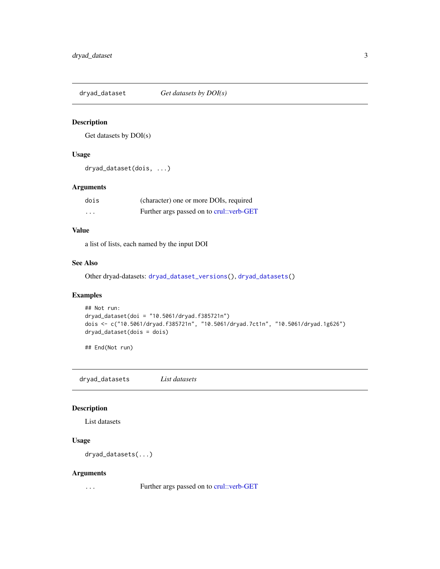<span id="page-2-1"></span><span id="page-2-0"></span>dryad\_dataset *Get datasets by DOI(s)*

## Description

Get datasets by DOI(s)

## Usage

dryad\_dataset(dois, ...)

#### Arguments

| dois                    | (character) one or more DOIs, required   |
|-------------------------|------------------------------------------|
| $\cdot$ $\cdot$ $\cdot$ | Further args passed on to crul: verb-GET |

## Value

a list of lists, each named by the input DOI

## See Also

Other dryad-datasets: [dryad\\_dataset\\_versions\(](#page-3-1)), [dryad\\_datasets\(](#page-2-2))

## Examples

```
## Not run:
dryad_dataset(doi = "10.5061/dryad.f385721n")
dois <- c("10.5061/dryad.f385721n", "10.5061/dryad.7ct1n", "10.5061/dryad.1g626")
dryad_dataset(dois = dois)
```
## End(Not run)

<span id="page-2-2"></span>dryad\_datasets *List datasets*

#### Description

List datasets

## Usage

dryad\_datasets(...)

#### Arguments

... Further args passed on to [crul::verb-GET](#page-0-0)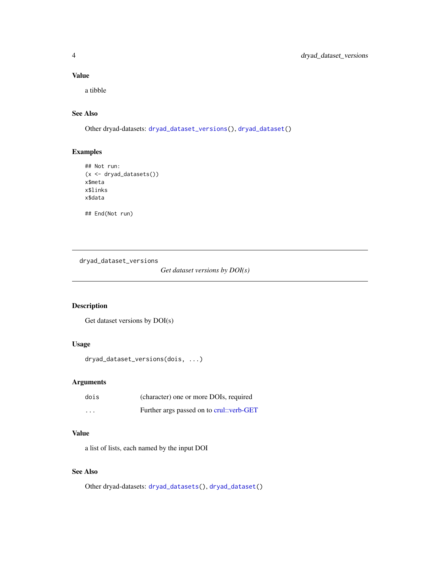## Value

a tibble

## See Also

Other dryad-datasets: [dryad\\_dataset\\_versions\(](#page-3-1)), [dryad\\_dataset\(](#page-2-1))

## Examples

```
## Not run:
(x <- dryad_datasets())
x$meta
x$links
x$data
## End(Not run)
```
<span id="page-3-1"></span>

dryad\_dataset\_versions

*Get dataset versions by DOI(s)*

## Description

Get dataset versions by DOI(s)

## Usage

```
dryad_dataset_versions(dois, ...)
```
## Arguments

| dois     | (character) one or more DOIs, required   |
|----------|------------------------------------------|
| $\cdots$ | Further args passed on to crul::verb-GET |

#### Value

a list of lists, each named by the input DOI

## See Also

Other dryad-datasets: [dryad\\_datasets\(](#page-2-2)), [dryad\\_dataset\(](#page-2-1))

<span id="page-3-0"></span>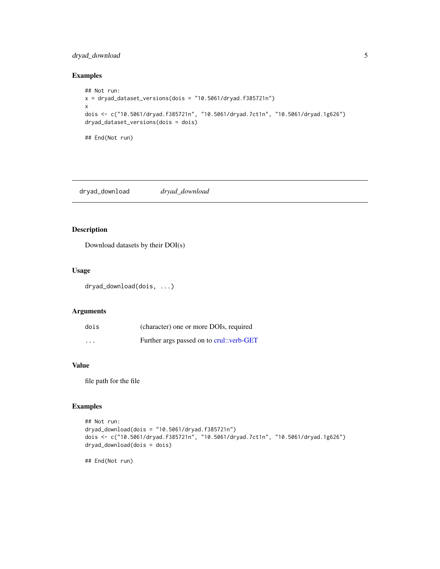## <span id="page-4-0"></span>dryad\_download 5

#### Examples

```
## Not run:
x = dryad_dataset_eventsions(dois = "10.5061/dryad.f385721n")x
dois <- c("10.5061/dryad.f385721n", "10.5061/dryad.7ct1n", "10.5061/dryad.1g626")
dryad_dataset_versions(dois = dois)
## End(Not run)
```
dryad\_download *dryad\_download*

## Description

Download datasets by their DOI(s)

## Usage

dryad\_download(dois, ...)

#### Arguments

| dois                    | (character) one or more DOIs, required   |
|-------------------------|------------------------------------------|
| $\cdot$ $\cdot$ $\cdot$ | Further args passed on to crul: verb-GET |

#### Value

file path for the file

#### Examples

```
## Not run:
dryad_download(dois = "10.5061/dryad.f385721n")
dois <- c("10.5061/dryad.f385721n", "10.5061/dryad.7ct1n", "10.5061/dryad.1g626")
dryad_download(dois = dois)
```
## End(Not run)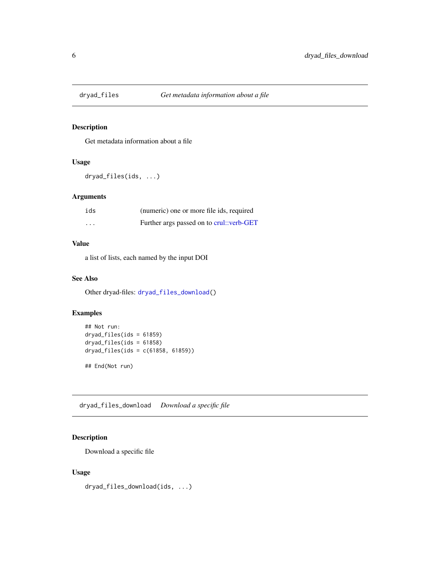<span id="page-5-1"></span><span id="page-5-0"></span>

#### Description

Get metadata information about a file

## Usage

```
dryad_files(ids, ...)
```
## Arguments

| ids      | (numeric) one or more file ids, required |
|----------|------------------------------------------|
| $\cdots$ | Further args passed on to crul::verb-GET |

## Value

a list of lists, each named by the input DOI

## See Also

Other dryad-files: [dryad\\_files\\_download\(](#page-5-2))

#### Examples

```
## Not run:
dryad_files(ids = 61859)
dryad_files(ids = 61858)
dryad_files(ids = c(61858, 61859))
## End(Not run)
```
<span id="page-5-2"></span>dryad\_files\_download *Download a specific file*

## Description

Download a specific file

#### Usage

dryad\_files\_download(ids, ...)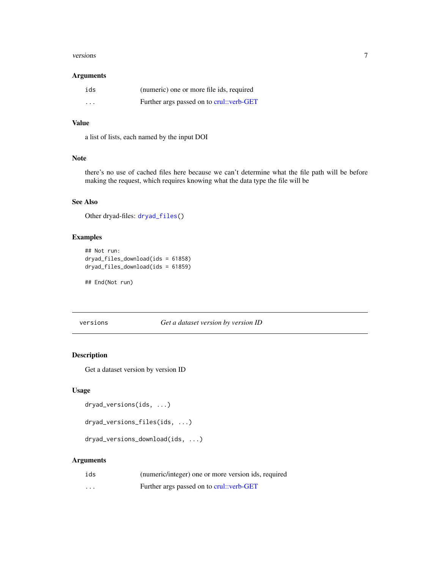#### <span id="page-6-0"></span>versions 7

#### Arguments

| ids                     | (numeric) one or more file ids, required |
|-------------------------|------------------------------------------|
| $\cdot$ $\cdot$ $\cdot$ | Further args passed on to crul::verb-GET |

## Value

a list of lists, each named by the input DOI

## Note

there's no use of cached files here because we can't determine what the file path will be before making the request, which requires knowing what the data type the file will be

## See Also

Other dryad-files: [dryad\\_files\(](#page-5-1))

## Examples

```
## Not run:
dryad_files_download(ids = 61858)
dryad_files_download(ids = 61859)
```
## End(Not run)

versions *Get a dataset version by version ID*

## <span id="page-6-1"></span>Description

Get a dataset version by version ID

#### Usage

```
dryad_versions(ids, ...)
```

```
dryad_versions_files(ids, ...)
```
dryad\_versions\_download(ids, ...)

#### Arguments

| ids     | (numeric/integer) one or more version ids, required |
|---------|-----------------------------------------------------|
| $\cdot$ | Further args passed on to crul: verb-GET            |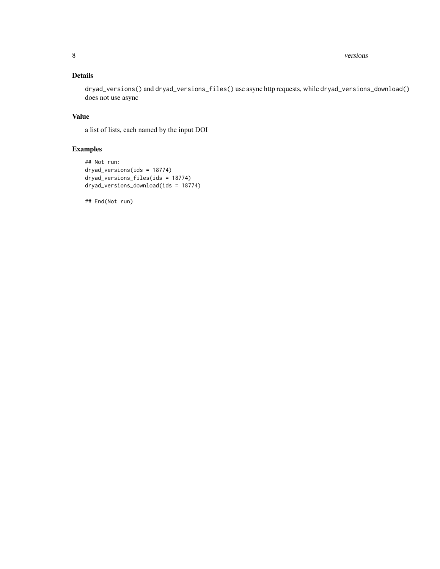8 versions versions and the contract of the contract of the contract of the contract of the contract of the contract of the contract of the contract of the contract of the contract of the contract of the contract of the co

## Details

dryad\_versions() and dryad\_versions\_files() use async http requests, while dryad\_versions\_download() does not use async

## Value

a list of lists, each named by the input DOI

## Examples

```
## Not run:
dryad_versions(ids = 18774)
dryad_versions_files(ids = 18774)
dryad_versions_download(ids = 18774)
```
## End(Not run)